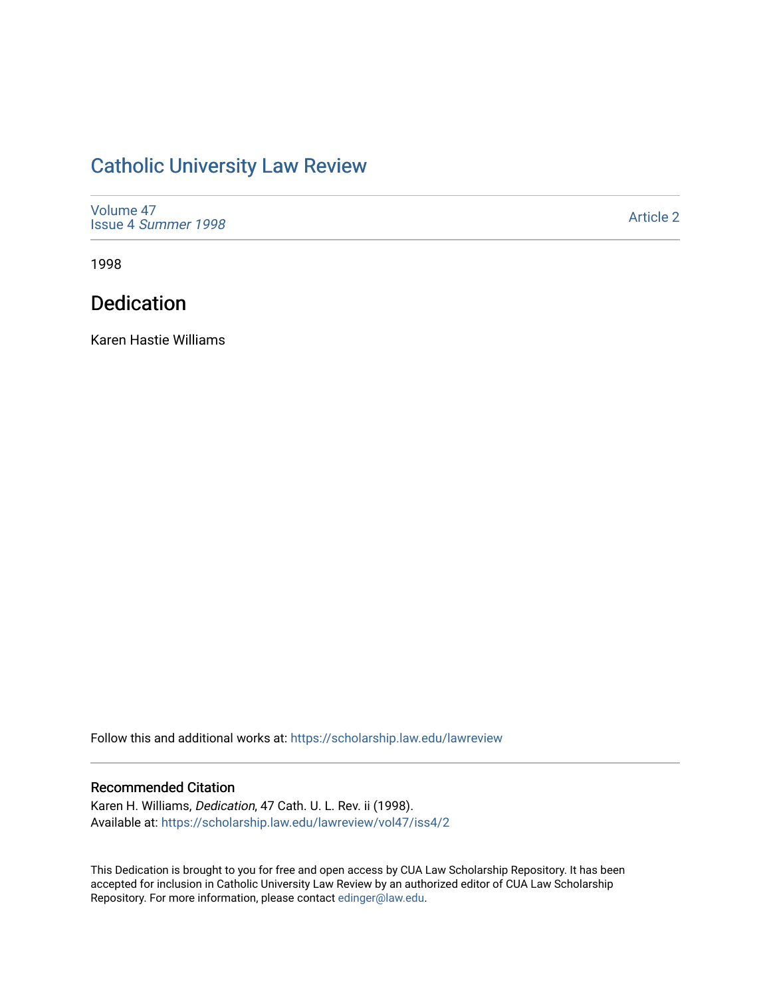# [Catholic University Law Review](https://scholarship.law.edu/lawreview)

| Volume 47<br>Issue 4 Summer 1998 | <b>Article 2</b> |
|----------------------------------|------------------|
|                                  |                  |

1998

## Dedication

Karen Hastie Williams

Follow this and additional works at: [https://scholarship.law.edu/lawreview](https://scholarship.law.edu/lawreview?utm_source=scholarship.law.edu%2Flawreview%2Fvol47%2Fiss4%2F2&utm_medium=PDF&utm_campaign=PDFCoverPages)

#### Recommended Citation

Karen H. Williams, Dedication, 47 Cath. U. L. Rev. ii (1998). Available at: [https://scholarship.law.edu/lawreview/vol47/iss4/2](https://scholarship.law.edu/lawreview/vol47/iss4/2?utm_source=scholarship.law.edu%2Flawreview%2Fvol47%2Fiss4%2F2&utm_medium=PDF&utm_campaign=PDFCoverPages)

This Dedication is brought to you for free and open access by CUA Law Scholarship Repository. It has been accepted for inclusion in Catholic University Law Review by an authorized editor of CUA Law Scholarship Repository. For more information, please contact [edinger@law.edu.](mailto:edinger@law.edu)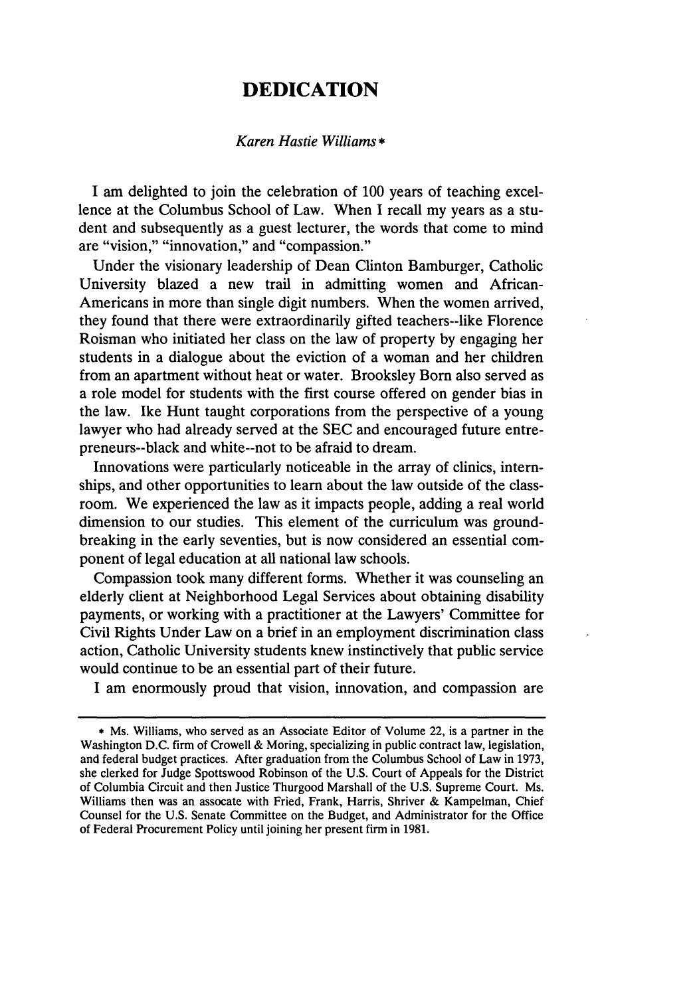### **DEDICATION**

#### *Karen Hastie Williams \**

I am delighted to join the celebration of 100 years of teaching excellence at the Columbus School of Law. When I recall my years as a student and subsequently as a guest lecturer, the words that come to mind are "vision," "innovation," and "compassion."

Under the visionary leadership of Dean Clinton Bamburger, Catholic University blazed a new trail in admitting women and African-Americans in more than single digit numbers. When the women arrived, they found that there were extraordinarily gifted teachers--like Florence Roisman who initiated her class on the law of property by engaging her students in a dialogue about the eviction of a woman and her children from an apartment without heat or water. Brooksley Born also served as a role model for students with the first course offered on gender bias in the law. Ike Hunt taught corporations from the perspective of a young lawyer who had already served at the SEC and encouraged future entrepreneurs--black and white--not to be afraid to dream.

Innovations were particularly noticeable in the array of clinics, internships, and other opportunities to learn about the law outside of the classroom. We experienced the law as it impacts people, adding a real world dimension to our studies. This element of the curriculum was groundbreaking in the early seventies, but is now considered an essential component of legal education at all national law schools.

Compassion took many different forms. Whether it was counseling an elderly client at Neighborhood Legal Services about obtaining disability payments, or working with a practitioner at the Lawyers' Committee for Civil Rights Under Law on a brief in an employment discrimination class action, Catholic University students knew instinctively that public service would continue to be an essential part of their future.

I am enormously proud that vision, innovation, and compassion are

**<sup>\*</sup>** Ms. Williams, who served as an Associate Editor of Volume 22, is a partner in the Washington D.C. firm of Crowell & Moring, specializing in public contract law, legislation, and federal budget practices. After graduation from the Columbus School of Law in 1973, she clerked for Judge Spottswood Robinson of the U.S. Court of Appeals for the District of Columbia Circuit and then Justice Thurgood Marshall of the U.S. Supreme Court. Ms. Williams then was an assocate with Fried, Frank, Harris, Shriver & Kampelman, Chief Counsel for the U.S. Senate Committee on the Budget, and Administrator for the Office of Federal Procurement Policy until joining her present firm in 1981.